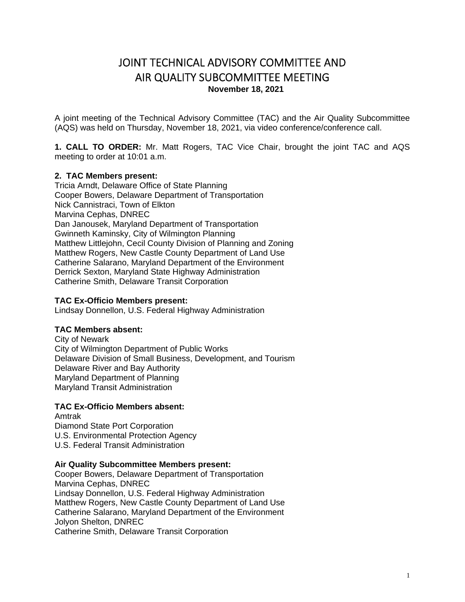# JOINT TECHNICAL ADVISORY COMMITTEE AND AIR QUALITY SUBCOMMITTEE MEETING **November 18, 2021**

A joint meeting of the Technical Advisory Committee (TAC) and the Air Quality Subcommittee (AQS) was held on Thursday, November 18, 2021, via video conference/conference call.

**1. CALL TO ORDER:** Mr. Matt Rogers, TAC Vice Chair, brought the joint TAC and AQS meeting to order at 10:01 a.m.

#### **2. TAC Members present:**

Tricia Arndt, Delaware Office of State Planning Cooper Bowers, Delaware Department of Transportation Nick Cannistraci, Town of Elkton Marvina Cephas, DNREC Dan Janousek, Maryland Department of Transportation Gwinneth Kaminsky, City of Wilmington Planning Matthew Littlejohn, Cecil County Division of Planning and Zoning Matthew Rogers, New Castle County Department of Land Use Catherine Salarano, Maryland Department of the Environment Derrick Sexton, Maryland State Highway Administration Catherine Smith, Delaware Transit Corporation

#### **TAC Ex-Officio Members present:**

Lindsay Donnellon, U.S. Federal Highway Administration

#### **TAC Members absent:**

City of Newark City of Wilmington Department of Public Works Delaware Division of Small Business, Development, and Tourism Delaware River and Bay Authority Maryland Department of Planning Maryland Transit Administration

## **TAC Ex-Officio Members absent:**

Amtrak Diamond State Port Corporation U.S. Environmental Protection Agency U.S. Federal Transit Administration

## **Air Quality Subcommittee Members present:**

Cooper Bowers, Delaware Department of Transportation Marvina Cephas, DNREC Lindsay Donnellon, U.S. Federal Highway Administration Matthew Rogers, New Castle County Department of Land Use Catherine Salarano, Maryland Department of the Environment Jolyon Shelton, DNREC Catherine Smith, Delaware Transit Corporation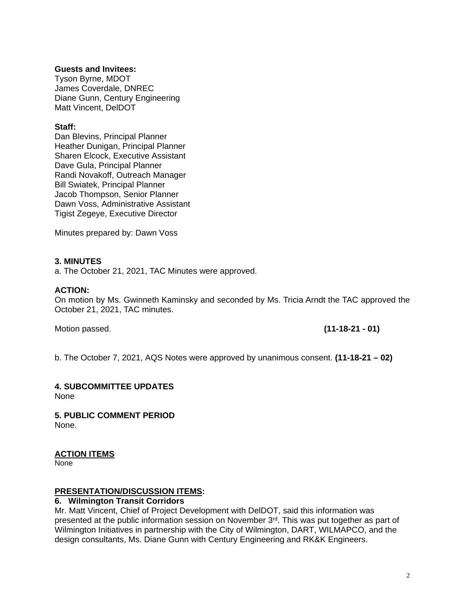#### **Guests and Invitees:**

Tyson Byrne, MDOT James Coverdale, DNREC Diane Gunn, Century Engineering Matt Vincent, DelDOT

#### **Staff:**

Dan Blevins, Principal Planner Heather Dunigan, Principal Planner Sharen Elcock, Executive Assistant Dave Gula, Principal Planner Randi Novakoff, Outreach Manager Bill Swiatek, Principal Planner Jacob Thompson, Senior Planner Dawn Voss, Administrative Assistant Tigist Zegeye, Executive Director

Minutes prepared by: Dawn Voss

#### **3. MINUTES**

a. The October 21, 2021, TAC Minutes were approved.

#### **ACTION:**

On motion by Ms. Gwinneth Kaminsky and seconded by Ms. Tricia Arndt the TAC approved the October 21, 2021, TAC minutes.

Motion passed. **(11-18-21 - 01)** 

b. The October 7, 2021, AQS Notes were approved by unanimous consent. **(11-18-21 – 02)**

#### **4. SUBCOMMITTEE UPDATES**

None

**5. PUBLIC COMMENT PERIOD**  None.

## **ACTION ITEMS**

None

#### **PRESENTATION/DISCUSSION ITEMS:**

#### **6. Wilmington Transit Corridors**

Mr. Matt Vincent, Chief of Project Development with DelDOT, said this information was presented at the public information session on November 3<sup>rd</sup>. This was put together as part of Wilmington Initiatives in partnership with the City of Wilmington, DART, WILMAPCO, and the design consultants, Ms. Diane Gunn with Century Engineering and RK&K Engineers.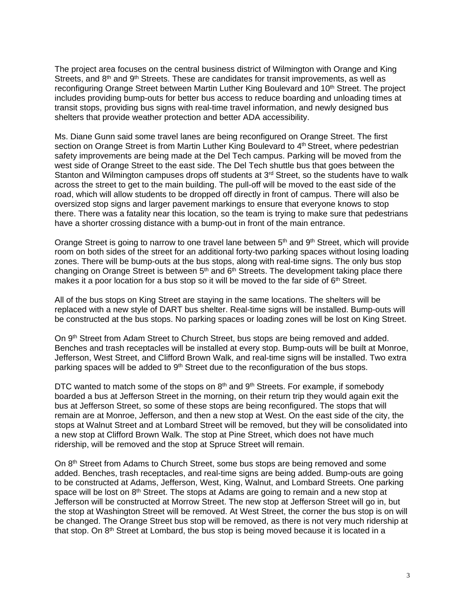The project area focuses on the central business district of Wilmington with Orange and King Streets, and  $8<sup>th</sup>$  and  $9<sup>th</sup>$  Streets. These are candidates for transit improvements, as well as reconfiguring Orange Street between Martin Luther King Boulevard and 10<sup>th</sup> Street. The project includes providing bump-outs for better bus access to reduce boarding and unloading times at transit stops, providing bus signs with real-time travel information, and newly designed bus shelters that provide weather protection and better ADA accessibility.

Ms. Diane Gunn said some travel lanes are being reconfigured on Orange Street. The first section on Orange Street is from Martin Luther King Boulevard to 4<sup>th</sup> Street, where pedestrian safety improvements are being made at the Del Tech campus. Parking will be moved from the west side of Orange Street to the east side. The Del Tech shuttle bus that goes between the Stanton and Wilmington campuses drops off students at 3<sup>rd</sup> Street, so the students have to walk across the street to get to the main building. The pull-off will be moved to the east side of the road, which will allow students to be dropped off directly in front of campus. There will also be oversized stop signs and larger pavement markings to ensure that everyone knows to stop there. There was a fatality near this location, so the team is trying to make sure that pedestrians have a shorter crossing distance with a bump-out in front of the main entrance.

Orange Street is going to narrow to one travel lane between 5<sup>th</sup> and 9<sup>th</sup> Street, which will provide room on both sides of the street for an additional forty-two parking spaces without losing loading zones. There will be bump-outs at the bus stops, along with real-time signs. The only bus stop changing on Orange Street is between  $5<sup>th</sup>$  and  $6<sup>th</sup>$  Streets. The development taking place there makes it a poor location for a bus stop so it will be moved to the far side of  $6<sup>th</sup>$  Street.

All of the bus stops on King Street are staying in the same locations. The shelters will be replaced with a new style of DART bus shelter. Real-time signs will be installed. Bump-outs will be constructed at the bus stops. No parking spaces or loading zones will be lost on King Street.

On 9<sup>th</sup> Street from Adam Street to Church Street, bus stops are being removed and added. Benches and trash receptacles will be installed at every stop. Bump-outs will be built at Monroe, Jefferson, West Street, and Clifford Brown Walk, and real-time signs will be installed. Two extra parking spaces will be added to  $9<sup>th</sup>$  Street due to the reconfiguration of the bus stops.

DTC wanted to match some of the stops on  $8<sup>th</sup>$  and  $9<sup>th</sup>$  Streets. For example, if somebody boarded a bus at Jefferson Street in the morning, on their return trip they would again exit the bus at Jefferson Street, so some of these stops are being reconfigured. The stops that will remain are at Monroe, Jefferson, and then a new stop at West. On the east side of the city, the stops at Walnut Street and at Lombard Street will be removed, but they will be consolidated into a new stop at Clifford Brown Walk. The stop at Pine Street, which does not have much ridership, will be removed and the stop at Spruce Street will remain.

On 8<sup>th</sup> Street from Adams to Church Street, some bus stops are being removed and some added. Benches, trash receptacles, and real-time signs are being added. Bump-outs are going to be constructed at Adams, Jefferson, West, King, Walnut, and Lombard Streets. One parking space will be lost on  $8<sup>th</sup>$  Street. The stops at Adams are going to remain and a new stop at Jefferson will be constructed at Morrow Street. The new stop at Jefferson Street will go in, but the stop at Washington Street will be removed. At West Street, the corner the bus stop is on will be changed. The Orange Street bus stop will be removed, as there is not very much ridership at that stop. On 8th Street at Lombard, the bus stop is being moved because it is located in a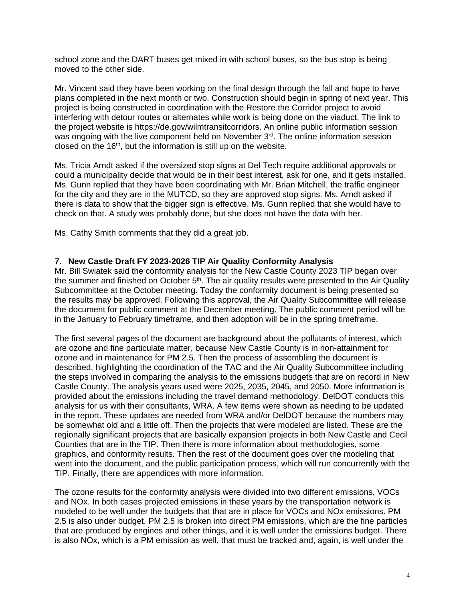school zone and the DART buses get mixed in with school buses, so the bus stop is being moved to the other side.

Mr. Vincent said they have been working on the final design through the fall and hope to have plans completed in the next month or two. Construction should begin in spring of next year. This project is being constructed in coordination with the Restore the Corridor project to avoid interfering with detour routes or alternates while work is being done on the viaduct. The link to the project website is https://de.gov/wilmtransitcorridors. An online public information session was ongoing with the live component held on November 3<sup>rd</sup>. The online information session closed on the  $16<sup>th</sup>$ , but the information is still up on the website.

Ms. Tricia Arndt asked if the oversized stop signs at Del Tech require additional approvals or could a municipality decide that would be in their best interest, ask for one, and it gets installed. Ms. Gunn replied that they have been coordinating with Mr. Brian Mitchell, the traffic engineer for the city and they are in the MUTCD, so they are approved stop signs. Ms. Arndt asked if there is data to show that the bigger sign is effective. Ms. Gunn replied that she would have to check on that. A study was probably done, but she does not have the data with her.

Ms. Cathy Smith comments that they did a great job.

## **7. New Castle Draft FY 2023-2026 TIP Air Quality Conformity Analysis**

Mr. Bill Swiatek said the conformity analysis for the New Castle County 2023 TIP began over the summer and finished on October 5<sup>th</sup>. The air quality results were presented to the Air Quality Subcommittee at the October meeting. Today the conformity document is being presented so the results may be approved. Following this approval, the Air Quality Subcommittee will release the document for public comment at the December meeting. The public comment period will be in the January to February timeframe, and then adoption will be in the spring timeframe.

The first several pages of the document are background about the pollutants of interest, which are ozone and fine particulate matter, because New Castle County is in non-attainment for ozone and in maintenance for PM 2.5. Then the process of assembling the document is described, highlighting the coordination of the TAC and the Air Quality Subcommittee including the steps involved in comparing the analysis to the emissions budgets that are on record in New Castle County. The analysis years used were 2025, 2035, 2045, and 2050. More information is provided about the emissions including the travel demand methodology. DelDOT conducts this analysis for us with their consultants, WRA. A few items were shown as needing to be updated in the report. These updates are needed from WRA and/or DelDOT because the numbers may be somewhat old and a little off. Then the projects that were modeled are listed. These are the regionally significant projects that are basically expansion projects in both New Castle and Cecil Counties that are in the TIP. Then there is more information about methodologies, some graphics, and conformity results. Then the rest of the document goes over the modeling that went into the document, and the public participation process, which will run concurrently with the TIP. Finally, there are appendices with more information.

The ozone results for the conformity analysis were divided into two different emissions, VOCs and NOx. In both cases projected emissions in these years by the transportation network is modeled to be well under the budgets that that are in place for VOCs and NOx emissions. PM 2.5 is also under budget. PM 2.5 is broken into direct PM emissions, which are the fine particles that are produced by engines and other things, and it is well under the emissions budget. There is also NOx, which is a PM emission as well, that must be tracked and, again, is well under the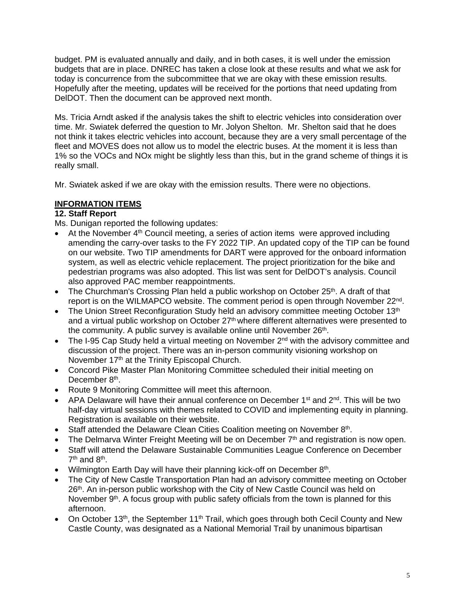budget. PM is evaluated annually and daily, and in both cases, it is well under the emission budgets that are in place. DNREC has taken a close look at these results and what we ask for today is concurrence from the subcommittee that we are okay with these emission results. Hopefully after the meeting, updates will be received for the portions that need updating from DelDOT. Then the document can be approved next month.

Ms. Tricia Arndt asked if the analysis takes the shift to electric vehicles into consideration over time. Mr. Swiatek deferred the question to Mr. Jolyon Shelton. Mr. Shelton said that he does not think it takes electric vehicles into account, because they are a very small percentage of the fleet and MOVES does not allow us to model the electric buses. At the moment it is less than 1% so the VOCs and NOx might be slightly less than this, but in the grand scheme of things it is really small.

Mr. Swiatek asked if we are okay with the emission results. There were no objections.

## **INFORMATION ITEMS**

## **12. Staff Report**

Ms. Dunigan reported the following updates:

- At the November 4<sup>th</sup> Council meeting, a series of action items were approved including amending the carry-over tasks to the FY 2022 TIP. An updated copy of the TIP can be found on our website. Two TIP amendments for DART were approved for the onboard information system, as well as electric vehicle replacement. The project prioritization for the bike and pedestrian programs was also adopted. This list was sent for DelDOT's analysis. Council also approved PAC member reappointments.
- The Churchman's Crossing Plan held a public workshop on October 25<sup>th</sup>. A draft of that report is on the WILMAPCO website. The comment period is open through November 22<sup>nd</sup>.
- The Union Street Reconfiguration Study held an advisory committee meeting October 13<sup>th</sup> and a virtual public workshop on October 27<sup>th</sup> where different alternatives were presented to the community. A public survey is available online until November 26<sup>th</sup>.
- The I-95 Cap Study held a virtual meeting on November  $2^{nd}$  with the advisory committee and discussion of the project. There was an in-person community visioning workshop on November 17th at the Trinity Episcopal Church.
- Concord Pike Master Plan Monitoring Committee scheduled their initial meeting on December 8<sup>th</sup>.
- Route 9 Monitoring Committee will meet this afternoon.
- APA Delaware will have their annual conference on December  $1^{st}$  and  $2^{nd}$ . This will be two half-day virtual sessions with themes related to COVID and implementing equity in planning. Registration is available on their website.
- Staff attended the Delaware Clean Cities Coalition meeting on November 8th.
- The Delmarva Winter Freight Meeting will be on December  $7<sup>th</sup>$  and registration is now open.
- Staff will attend the Delaware Sustainable Communities League Conference on December  $7<sup>th</sup>$  and  $8<sup>th</sup>$ .
- Wilmington Earth Day will have their planning kick-off on December  $8<sup>th</sup>$ .
- The City of New Castle Transportation Plan had an advisory committee meeting on October 26<sup>th</sup>. An in-person public workshop with the City of New Castle Council was held on November 9<sup>th</sup>. A focus group with public safety officials from the town is planned for this afternoon.
- On October 13<sup>th</sup>, the September 11<sup>th</sup> Trail, which goes through both Cecil County and New Castle County, was designated as a National Memorial Trail by unanimous bipartisan